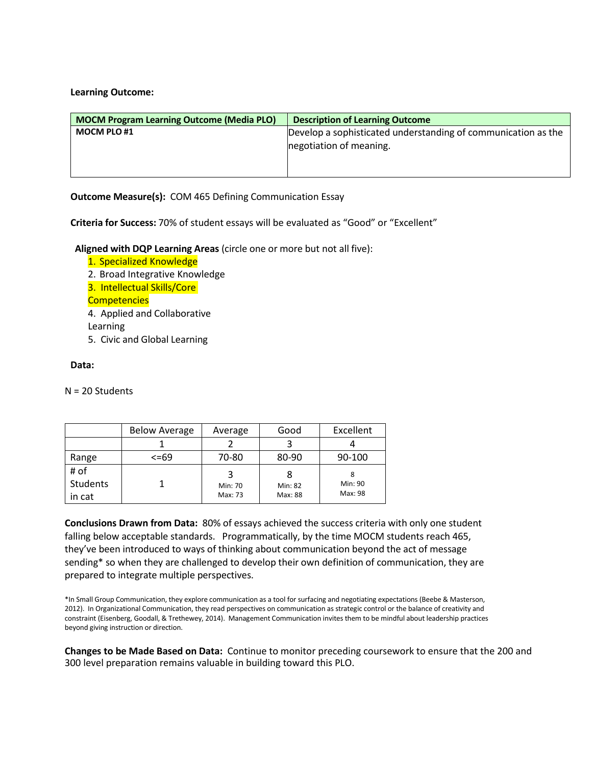## **Learning Outcome:**

| <b>MOCM Program Learning Outcome (Media PLO)</b> | <b>Description of Learning Outcome</b>                                                   |
|--------------------------------------------------|------------------------------------------------------------------------------------------|
| <b>MOCM PLO#1</b>                                | Develop a sophisticated understanding of communication as the<br>negotiation of meaning. |

**Outcome Measure(s):** COM 465 Defining Communication Essay

**Criteria for Success:** 70% of student essays will be evaluated as "Good" or "Excellent"

**Aligned with DQP Learning Areas** (circle one or more but not all five):

- 1. Specialized Knowledge
- 2. Broad Integrative Knowledge
- 3. Intellectual Skills/Core
- **Competencies**
- 4. Applied and Collaborative

Learning

5. Civic and Global Learning

# **Data:**

N = 20 Students

|          | <b>Below Average</b> | Average | Good    | Excellent |
|----------|----------------------|---------|---------|-----------|
|          |                      |         |         |           |
| Range    | $<=69$               | 70-80   | 80-90   | 90-100    |
| # of     |                      |         | 8       |           |
| Students |                      | Min: 70 | Min: 82 | Min: 90   |
| in cat   |                      | Max: 73 | Max: 88 | Max: 98   |

**Conclusions Drawn from Data:** 80% of essays achieved the success criteria with only one student falling below acceptable standards. Programmatically, by the time MOCM students reach 465, they've been introduced to ways of thinking about communication beyond the act of message sending\* so when they are challenged to develop their own definition of communication, they are prepared to integrate multiple perspectives.

**Changes to be Made Based on Data:** Continue to monitor preceding coursework to ensure that the 200 and 300 level preparation remains valuable in building toward this PLO.

<sup>\*</sup>In Small Group Communication, they explore communication as a tool for surfacing and negotiating expectations (Beebe & Masterson, 2012). In Organizational Communication, they read perspectives on communication as strategic control or the balance of creativity and constraint (Eisenberg, Goodall, & Trethewey, 2014). Management Communication invites them to be mindful about leadership practices beyond giving instruction or direction.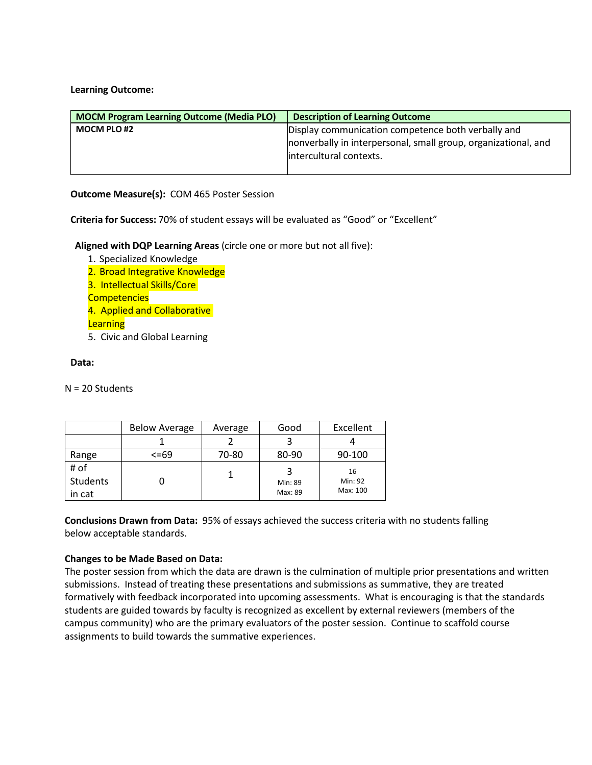**Learning Outcome:**

| <b>MOCM Program Learning Outcome (Media PLO)</b> | <b>Description of Learning Outcome</b>                         |  |
|--------------------------------------------------|----------------------------------------------------------------|--|
| <b>MOCM PLO #2</b>                               | Display communication competence both verbally and             |  |
|                                                  | nonverbally in interpersonal, small group, organizational, and |  |
|                                                  | intercultural contexts.                                        |  |
|                                                  |                                                                |  |

**Outcome Measure(s):** COM 465 Poster Session

**Criteria for Success:** 70% of student essays will be evaluated as "Good" or "Excellent"

**Aligned with DQP Learning Areas** (circle one or more but not all five):

- 1. Specialized Knowledge 2. Broad Integrative Knowledge 3. Intellectual Skills/Core **Competencies** 4. Applied and Collaborative **Learning** 5. Civic and Global Learning
- **Data:**

N = 20 Students

|          | <b>Below Average</b> | Average | Good    | Excellent |
|----------|----------------------|---------|---------|-----------|
|          |                      |         |         |           |
| Range    | $<=69$               | 70-80   | 80-90   | 90-100    |
| # of     |                      |         |         | 16        |
| Students |                      |         | Min: 89 | Min: 92   |
| in cat   |                      |         | Max: 89 | Max: 100  |

**Conclusions Drawn from Data:** 95% of essays achieved the success criteria with no students falling below acceptable standards.

### **Changes to be Made Based on Data:**

The poster session from which the data are drawn is the culmination of multiple prior presentations and written submissions. Instead of treating these presentations and submissions as summative, they are treated formatively with feedback incorporated into upcoming assessments. What is encouraging is that the standards students are guided towards by faculty is recognized as excellent by external reviewers (members of the campus community) who are the primary evaluators of the poster session. Continue to scaffold course assignments to build towards the summative experiences.